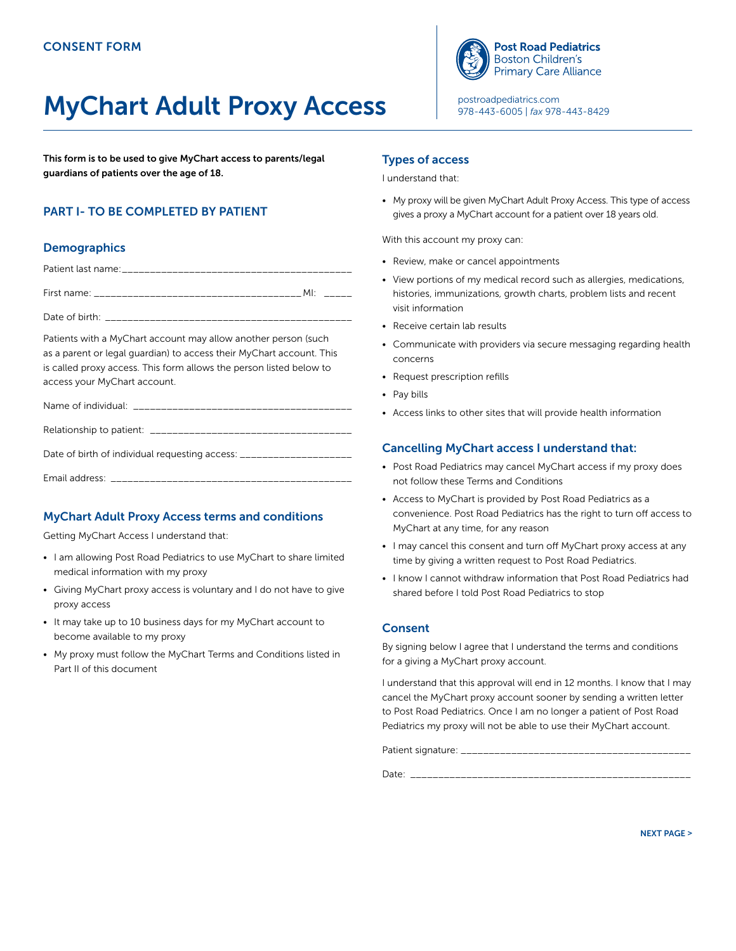# MyChart Adult Proxy Access

This form is to be used to give MyChart access to parents/legal guardians of patients over the age of 18.

# PART I- TO BE COMPLETED BY PATIENT

# **Demographics**

|                | MI. |  |
|----------------|-----|--|
| Date of birth: |     |  |

Patients with a MyChart account may allow another person (such as a parent or legal guardian) to access their MyChart account. This is called proxy access. This form allows the person listed below to access your MyChart account.

Name of individual:  $\Box$ 

| Relationship to patient: ____________________________               |
|---------------------------------------------------------------------|
| Date of birth of individual requesting access: ____________________ |

# MyChart Adult Proxy Access terms and conditions

Getting MyChart Access I understand that:

Email address: \_\_\_\_\_\_\_\_\_\_\_\_\_\_\_\_\_\_\_\_\_\_\_\_\_\_\_\_\_\_\_\_\_\_\_\_\_\_\_\_\_\_\_

- I am allowing Post Road Pediatrics to use MyChart to share limited medical information with my proxy
- Giving MyChart proxy access is voluntary and I do not have to give proxy access
- It may take up to 10 business days for my MyChart account to become available to my proxy
- My proxy must follow the MyChart Terms and Conditions listed in Part II of this document

#### Types of access

I understand that:

• My proxy will be given MyChart Adult Proxy Access. This type of access gives a proxy a MyChart account for a patient over 18 years old.

With this account my proxy can:

- Review, make or cancel appointments
- View portions of my medical record such as allergies, medications, histories, immunizations, growth charts, problem lists and recent visit information
- Receive certain lab results
- Communicate with providers via secure messaging regarding health concerns
- Request prescription refills
- Pay bills
- Access links to other sites that will provide health information

# Cancelling MyChart access I understand that:

- Post Road Pediatrics may cancel MyChart access if my proxy does not follow these Terms and Conditions
- Access to MyChart is provided by Post Road Pediatrics as a convenience. Post Road Pediatrics has the right to turn off access to MyChart at any time, for any reason
- I may cancel this consent and turn off MyChart proxy access at any time by giving a written request to Post Road Pediatrics.
- I know I cannot withdraw information that Post Road Pediatrics had shared before I told Post Road Pediatrics to stop

## **Consent**

By signing below I agree that I understand the terms and conditions for a giving a MyChart proxy account.

I understand that this approval will end in 12 months. I know that I may cancel the MyChart proxy account sooner by sending a written letter to Post Road Pediatrics. Once I am no longer a patient of Post Road Pediatrics my proxy will not be able to use their MyChart account.

Patient signature: \_\_\_\_\_\_\_\_\_\_\_\_\_\_\_\_\_\_\_\_\_\_\_\_\_\_\_\_\_\_\_\_\_\_\_\_\_\_\_\_\_ Date:



[postroadpediatrics.com](http://postroadpediatrics.com) 978-443-6005 | *fax* 978-443-8429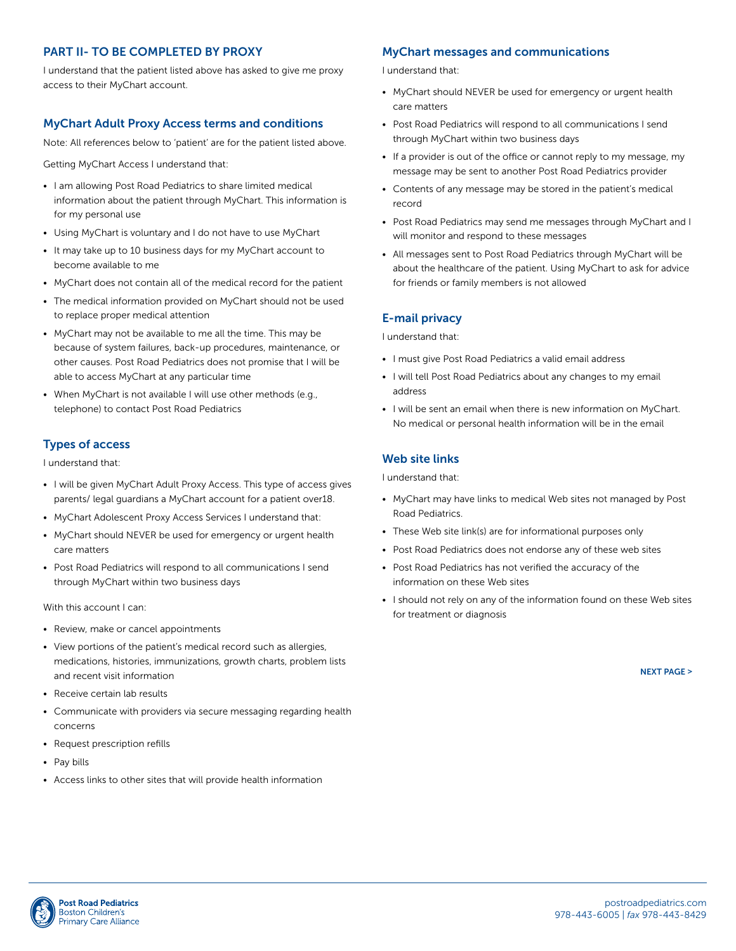# PART II- TO BE COMPLETED BY PROXY

I understand that the patient listed above has asked to give me proxy access to their MyChart account.

#### MyChart Adult Proxy Access terms and conditions

Note: All references below to 'patient' are for the patient listed above.

Getting MyChart Access I understand that:

- I am allowing Post Road Pediatrics to share limited medical information about the patient through MyChart. This information is for my personal use
- Using MyChart is voluntary and I do not have to use MyChart
- It may take up to 10 business days for my MyChart account to become available to me
- MyChart does not contain all of the medical record for the patient
- The medical information provided on MyChart should not be used to replace proper medical attention
- MyChart may not be available to me all the time. This may be because of system failures, back-up procedures, maintenance, or other causes. Post Road Pediatrics does not promise that I will be able to access MyChart at any particular time
- When MyChart is not available I will use other methods (e.g., telephone) to contact Post Road Pediatrics

## Types of access

I understand that:

- I will be given MyChart Adult Proxy Access. This type of access gives parents/ legal guardians a MyChart account for a patient over18.
- MyChart Adolescent Proxy Access Services I understand that:
- MyChart should NEVER be used for emergency or urgent health care matters
- Post Road Pediatrics will respond to all communications I send through MyChart within two business days

With this account I can:

- Review, make or cancel appointments
- View portions of the patient's medical record such as allergies, medications, histories, immunizations, growth charts, problem lists and recent visit information
- Receive certain lab results
- Communicate with providers via secure messaging regarding health concerns
- Request prescription refills
- Pay bills
- Access links to other sites that will provide health information

## MyChart messages and communications

I understand that:

- MyChart should NEVER be used for emergency or urgent health care matters
- Post Road Pediatrics will respond to all communications I send through MyChart within two business days
- If a provider is out of the office or cannot reply to my message, my message may be sent to another Post Road Pediatrics provider
- Contents of any message may be stored in the patient's medical record
- Post Road Pediatrics may send me messages through MyChart and I will monitor and respond to these messages
- All messages sent to Post Road Pediatrics through MyChart will be about the healthcare of the patient. Using MyChart to ask for advice for friends or family members is not allowed

#### E-mail privacy

I understand that:

- I must give Post Road Pediatrics a valid email address
- I will tell Post Road Pediatrics about any changes to my email address
- I will be sent an email when there is new information on MyChart. No medical or personal health information will be in the email

#### Web site links

I understand that:

- MyChart may have links to medical Web sites not managed by Post Road Pediatrics.
- These Web site link(s) are for informational purposes only
- Post Road Pediatrics does not endorse any of these web sites
- Post Road Pediatrics has not verified the accuracy of the information on these Web sites
- I should not rely on any of the information found on these Web sites for treatment or diagnosis

NEXT PAGE >